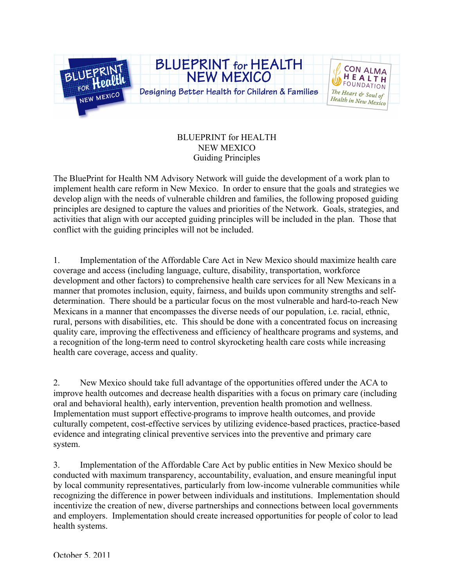

## BLUEPRINT for HEALTH NEW MEXICO Guiding Principles

The BluePrint for Health NM Advisory Network will guide the development of a work plan to implement health care reform in New Mexico. In order to ensure that the goals and strategies we develop align with the needs of vulnerable children and families, the following proposed guiding principles are designed to capture the values and priorities of the Network. Goals, strategies, and activities that align with our accepted guiding principles will be included in the plan. Those that conflict with the guiding principles will not be included.

1. Implementation of the Affordable Care Act in New Mexico should maximize health care coverage and access (including language, culture, disability, transportation, workforce development and other factors) to comprehensive health care services for all New Mexicans in a manner that promotes inclusion, equity, fairness, and builds upon community strengths and selfdetermination. There should be a particular focus on the most vulnerable and hard-to-reach New Mexicans in a manner that encompasses the diverse needs of our population, i.e. racial, ethnic, rural, persons with disabilities, etc. This should be done with a concentrated focus on increasing quality care, improving the effectiveness and efficiency of healthcare programs and systems, and a recognition of the long-term need to control skyrocketing health care costs while increasing health care coverage, access and quality.

2. New Mexico should take full advantage of the opportunities offered under the ACA to improve health outcomes and decrease health disparities with a focus on primary care (including oral and behavioral health), early intervention, prevention health promotion and wellness. Implementation must support effective programs to improve health outcomes, and provide culturally competent, cost-effective services by utilizing evidence-based practices, practice-based evidence and integrating clinical preventive services into the preventive and primary care system.

3. Implementation of the Affordable Care Act by public entities in New Mexico should be conducted with maximum transparency, accountability, evaluation, and ensure meaningful input by local community representatives, particularly from low-income vulnerable communities while recognizing the difference in power between individuals and institutions. Implementation should incentivize the creation of new, diverse partnerships and connections between local governments and employers. Implementation should create increased opportunities for people of color to lead health systems.